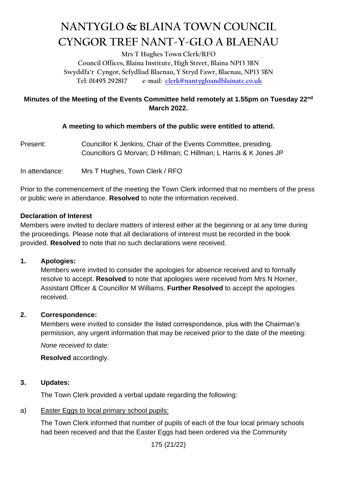# **NANTYGLO & BLAINA TOWN COUNCIL CYNGOR TREF NANT-Y-GLO A BLAENAU**

**Mrs T Hughes Town Clerk/RFO**

**Council Offices, Blaina Institute, High Street, Blaina NP13 3BN Swyddfa'r Cyngor, Sefydliad Blaenau, Y Stryd Fawr, Blaenau, NP13 3BN Tel: 01495 292817 e-mail: [clerk@nantygloandblainatc.co.uk](mailto:clerk@nantygloandblainatc.co.uk)**

# **Minutes of the Meeting of the Events Committee held remotely at 1.55pm on Tuesday 22nd March 2022.**

## **A meeting to which members of the public were entitled to attend.**

Present: Councillor K Jenkins, Chair of the Events Committee, presiding. Councillors G Morvan; D Hillman; C Hillman; L Harris & K Jones JP

In attendance: Mrs T Hughes, Town Clerk / RFO

Prior to the commencement of the meeting the Town Clerk informed that no members of the press or public were in attendance. **Resolved** to note the information received.

## **Declaration of Interest**

Members were invited to declare matters of interest either at the beginning or at any time during the proceedings. Please note that all declarations of interest must be recorded in the book provided. **Resolved** to note that no such declarations were received.

#### **1. Apologies:**

Members were invited to consider the apologies for absence received and to formally resolve to accept. **Resolved** to note that apologies were received from Mrs N Horner, Assistant Officer & Councillor M Williams. **Further Resolved** to accept the apologies received.

# **2. Correspondence:**

Members were invited to consider the listed correspondence, plus with the Chairman's permission, any urgent information that may be received prior to the date of the meeting:

*None received to date:*

**Resolved** accordingly.

# **3. Updates:**

The Town Clerk provided a verbal update regarding the following:

#### a) Easter Eggs to local primary school pupils:

The Town Clerk informed that number of pupils of each of the four local primary schools had been received and that the Easter Eggs had been ordered via the Community

175 (21/22)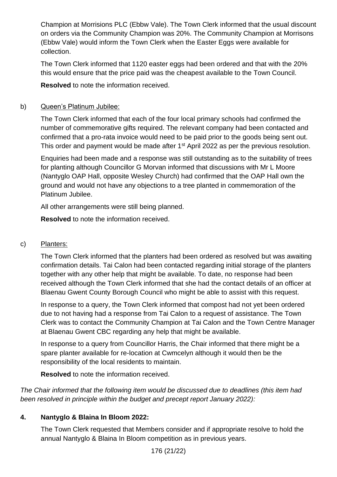Champion at Morrisions PLC (Ebbw Vale). The Town Clerk informed that the usual discount on orders via the Community Champion was 20%. The Community Champion at Morrisons (Ebbw Vale) would inform the Town Clerk when the Easter Eggs were available for collection.

The Town Clerk informed that 1120 easter eggs had been ordered and that with the 20% this would ensure that the price paid was the cheapest available to the Town Council.

**Resolved** to note the information received.

## b) Queen's Platinum Jubilee:

The Town Clerk informed that each of the four local primary schools had confirmed the number of commemorative gifts required. The relevant company had been contacted and confirmed that a pro-rata invoice would need to be paid prior to the goods being sent out. This order and payment would be made after 1<sup>st</sup> April 2022 as per the previous resolution.

Enquiries had been made and a response was still outstanding as to the suitability of trees for planting although Councillor G Morvan informed that discussions with Mr L Moore (Nantyglo OAP Hall, opposite Wesley Church) had confirmed that the OAP Hall own the ground and would not have any objections to a tree planted in commemoration of the Platinum Jubilee.

All other arrangements were still being planned.

**Resolved** to note the information received.

#### c) Planters:

The Town Clerk informed that the planters had been ordered as resolved but was awaiting confirmation details. Tai Calon had been contacted regarding initial storage of the planters together with any other help that might be available. To date, no response had been received although the Town Clerk informed that she had the contact details of an officer at Blaenau Gwent County Borough Council who might be able to assist with this request.

In response to a query, the Town Clerk informed that compost had not yet been ordered due to not having had a response from Tai Calon to a request of assistance. The Town Clerk was to contact the Community Champion at Tai Calon and the Town Centre Manager at Blaenau Gwent CBC regarding any help that might be available.

In response to a query from Councillor Harris, the Chair informed that there might be a spare planter available for re-location at Cwmcelyn although it would then be the responsibility of the local residents to maintain.

**Resolved** to note the information received.

*The Chair informed that the following item would be discussed due to deadlines (this item had been resolved in principle within the budget and precept report January 2022):*

# **4. Nantyglo & Blaina In Bloom 2022:**

The Town Clerk requested that Members consider and if appropriate resolve to hold the annual Nantyglo & Blaina In Bloom competition as in previous years.